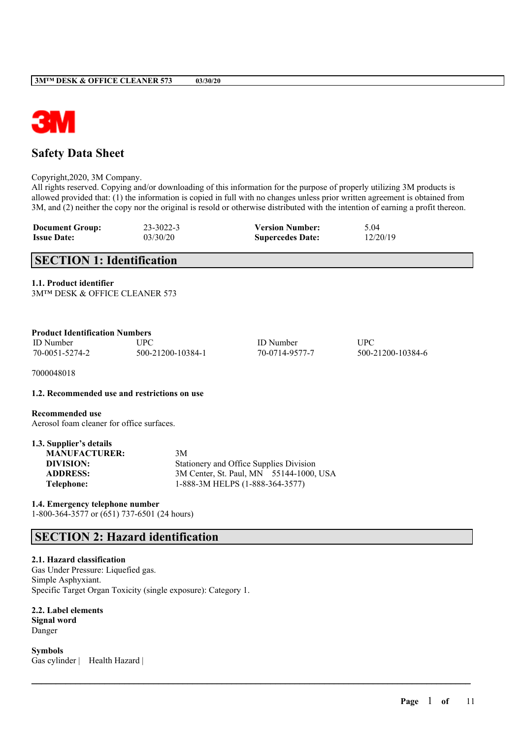

# **Safety Data Sheet**

Copyright,2020, 3M Company.

All rights reserved. Copying and/or downloading of this information for the purpose of properly utilizing 3M products is allowed provided that: (1) the information is copied in full with no changes unless prior written agreement is obtained from 3M, and (2) neither the copy nor the original is resold or otherwise distributed with the intention of earning a profit thereon.

 $\mathcal{L}_\mathcal{L} = \mathcal{L}_\mathcal{L} = \mathcal{L}_\mathcal{L} = \mathcal{L}_\mathcal{L} = \mathcal{L}_\mathcal{L} = \mathcal{L}_\mathcal{L} = \mathcal{L}_\mathcal{L} = \mathcal{L}_\mathcal{L} = \mathcal{L}_\mathcal{L} = \mathcal{L}_\mathcal{L} = \mathcal{L}_\mathcal{L} = \mathcal{L}_\mathcal{L} = \mathcal{L}_\mathcal{L} = \mathcal{L}_\mathcal{L} = \mathcal{L}_\mathcal{L} = \mathcal{L}_\mathcal{L} = \mathcal{L}_\mathcal{L}$ 

| <b>Document Group:</b> | 23-3022-3 | <b>Version Number:</b>  | 5.04     |
|------------------------|-----------|-------------------------|----------|
| <b>Issue Date:</b>     | 03/30/20  | <b>Supercedes Date:</b> | 12/20/19 |

# **SECTION 1: Identification**

**1.1. Product identifier**

| <b>Product Identification Numbers</b> |                   |                  |      |  |
|---------------------------------------|-------------------|------------------|------|--|
| ID Number                             | UPC.              | <b>ID</b> Number | UPC  |  |
| 70-0051-5274-2                        | 500-21200-10384-1 | 70-0714-9577-7   | 500- |  |

7000048018

### **1.2. Recommended use and restrictions on use**

**Recommended use**

Aerosol foam cleaner for office surfaces.

| 1.3. Supplier's details |                                         |  |
|-------------------------|-----------------------------------------|--|
| <b>MANUFACTURER:</b>    | 3M                                      |  |
| DIVISION:               | Stationery and Office Supplies Division |  |
| <b>ADDRESS:</b>         | 3M Center, St. Paul, MN 55144-1000, USA |  |
| Telephone:              | 1-888-3M HELPS (1-888-364-3577)         |  |

**1.4. Emergency telephone number**

1-800-364-3577 or (651) 737-6501 (24 hours)

# **SECTION 2: Hazard identification**

### **2.1. Hazard classification**

Gas Under Pressure: Liquefied gas. Simple Asphyxiant. Specific Target Organ Toxicity (single exposure): Category 1.

**2.2. Label elements Signal word** Danger

**Symbols** Gas cylinder | Health Hazard | 500-21200-10384-6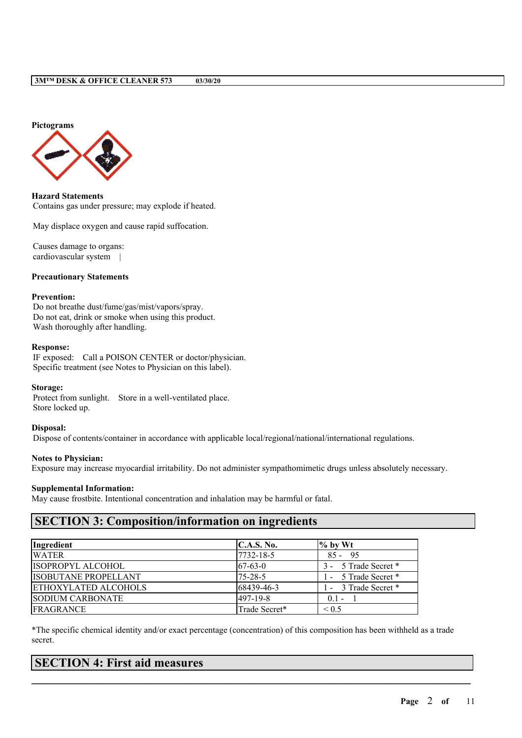

**Hazard Statements** Contains gas under pressure; may explode if heated.

May displace oxygen and cause rapid suffocation.

Causes damage to organs: cardiovascular system |

### **Precautionary Statements**

### **Prevention:**

Do not breathe dust/fume/gas/mist/vapors/spray. Do not eat, drink or smoke when using this product. Wash thoroughly after handling.

### **Response:**

IF exposed: Call a POISON CENTER or doctor/physician. Specific treatment (see Notes to Physician on this label).

#### **Storage:**

Protect from sunlight. Store in a well-ventilated place. Store locked up.

### **Disposal:**

Dispose of contents/container in accordance with applicable local/regional/national/international regulations.

# **Notes to Physician:**

Exposure may increase myocardial irritability. Do not administer sympathomimetic drugs unless absolutely necessary.

#### **Supplemental Information:**

May cause frostbite. Intentional concentration and inhalation may be harmful or fatal.

# **SECTION 3: Composition/information on ingredients**

| Ingredient                  | C.A.S. No.    | $\%$ by Wt           |
|-----------------------------|---------------|----------------------|
| <b>WATER</b>                | 7732-18-5     | $85 - 95$            |
| ISOPROPYL ALCOHOL           | $67-63-0$     | 3 - 5 Trade Secret * |
| <b>ISOBUTANE PROPELLANT</b> | $75 - 28 - 5$ | 1 - 5 Trade Secret * |
| <b>ETHOXYLATED ALCOHOLS</b> | 68439-46-3    | 1 - 3 Trade Secret * |
| <b>SODIUM CARBONATE</b>     | 497-19-8      | $0.1 -$              |
| <b>FRAGRANCE</b>            | Trade Secret* | ${}_{0.5}$           |

\*The specific chemical identity and/or exact percentage (concentration) of this composition has been withheld as a trade secret.

 $\mathcal{L}_\mathcal{L} = \mathcal{L}_\mathcal{L} = \mathcal{L}_\mathcal{L} = \mathcal{L}_\mathcal{L} = \mathcal{L}_\mathcal{L} = \mathcal{L}_\mathcal{L} = \mathcal{L}_\mathcal{L} = \mathcal{L}_\mathcal{L} = \mathcal{L}_\mathcal{L} = \mathcal{L}_\mathcal{L} = \mathcal{L}_\mathcal{L} = \mathcal{L}_\mathcal{L} = \mathcal{L}_\mathcal{L} = \mathcal{L}_\mathcal{L} = \mathcal{L}_\mathcal{L} = \mathcal{L}_\mathcal{L} = \mathcal{L}_\mathcal{L}$ 

# **SECTION 4: First aid measures**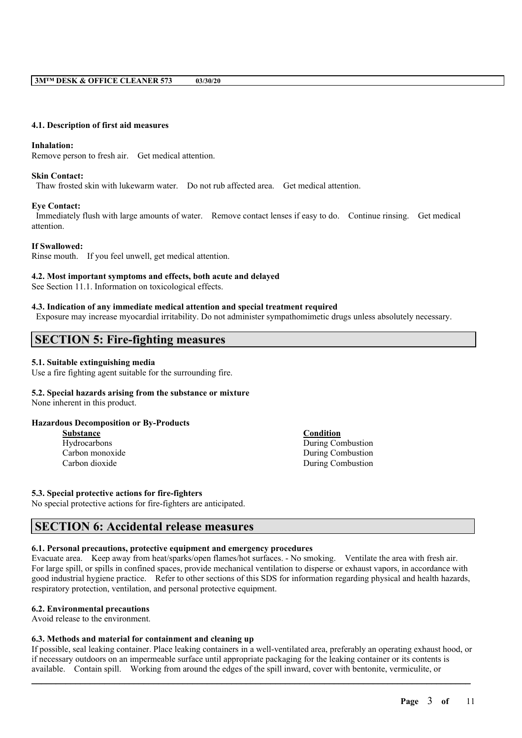### **4.1. Description of first aid measures**

### **Inhalation:**

Remove person to fresh air. Get medical attention.

### **Skin Contact:**

Thaw frosted skin with lukewarm water. Do not rub affected area. Get medical attention.

### **Eye Contact:**

Immediately flush with large amounts of water. Remove contact lenses if easy to do. Continue rinsing. Get medical attention.

# **If Swallowed:**

Rinse mouth. If you feel unwell, get medical attention.

### **4.2. Most important symptoms and effects, both acute and delayed**

See Section 11.1. Information on toxicological effects.

### **4.3. Indication of any immediate medical attention and special treatment required**

Exposure may increase myocardial irritability. Do not administer sympathomimetic drugs unless absolutely necessary.

# **SECTION 5: Fire-fighting measures**

### **5.1. Suitable extinguishing media**

Use a fire fighting agent suitable for the surrounding fire.

# **5.2. Special hazards arising from the substance or mixture**

None inherent in this product.

### **Hazardous Decomposition or By-Products**

Hydrocarbons During Combustion Carbon monoxide During Combustion Carbon dioxide During Combustion

### **5.3. Special protective actions for fire-fighters**

No special protective actions for fire-fighters are anticipated.

# **SECTION 6: Accidental release measures**

### **6.1. Personal precautions, protective equipment and emergency procedures**

Evacuate area. Keep away from heat/sparks/open flames/hot surfaces. - No smoking. Ventilate the area with fresh air. For large spill, or spills in confined spaces, provide mechanical ventilation to disperse or exhaust vapors, in accordance with good industrial hygiene practice. Refer to other sections of this SDS for information regarding physical and health hazards, respiratory protection, ventilation, and personal protective equipment.

#### **6.2. Environmental precautions**

Avoid release to the environment.

#### **6.3. Methods and material for containment and cleaning up**

If possible, seal leaking container. Place leaking containers in a well-ventilated area, preferably an operating exhaust hood, or if necessary outdoors on an impermeable surface until appropriate packaging for the leaking container or its contents is available. Contain spill. Working from around the edges of the spill inward, cover with bentonite, vermiculite, or

 $\mathcal{L}_\mathcal{L} = \mathcal{L}_\mathcal{L} = \mathcal{L}_\mathcal{L} = \mathcal{L}_\mathcal{L} = \mathcal{L}_\mathcal{L} = \mathcal{L}_\mathcal{L} = \mathcal{L}_\mathcal{L} = \mathcal{L}_\mathcal{L} = \mathcal{L}_\mathcal{L} = \mathcal{L}_\mathcal{L} = \mathcal{L}_\mathcal{L} = \mathcal{L}_\mathcal{L} = \mathcal{L}_\mathcal{L} = \mathcal{L}_\mathcal{L} = \mathcal{L}_\mathcal{L} = \mathcal{L}_\mathcal{L} = \mathcal{L}_\mathcal{L}$ 

# **Substance Condition**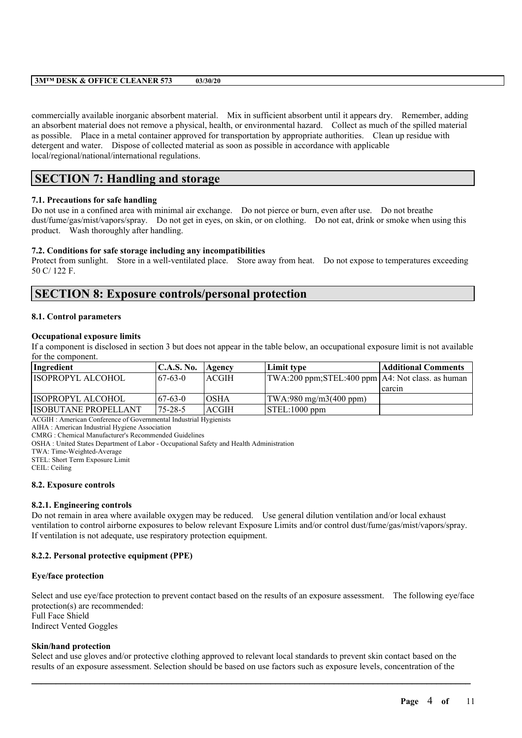commercially available inorganic absorbent material. Mix in sufficient absorbent until it appears dry. Remember, adding an absorbent material does not remove a physical, health, or environmental hazard. Collect as much of the spilled material as possible. Place in a metal container approved for transportation by appropriate authorities. Clean up residue with detergent and water. Dispose of collected material as soon as possible in accordance with applicable local/regional/national/international regulations.

# **SECTION 7: Handling and storage**

# **7.1. Precautions for safe handling**

Do not use in a confined area with minimal air exchange. Do not pierce or burn, even after use. Do not breathe dust/fume/gas/mist/vapors/spray. Do not get in eyes, on skin, or on clothing. Do not eat, drink or smoke when using this product. Wash thoroughly after handling.

### **7.2. Conditions for safe storage including any incompatibilities**

Protect from sunlight. Store in a well-ventilated place. Store away from heat. Do not expose to temperatures exceeding 50 C/ 122 F.

# **SECTION 8: Exposure controls/personal protection**

### **8.1. Control parameters**

### **Occupational exposure limits**

If a component is disclosed in section 3 but does not appear in the table below, an occupational exposure limit is not available for the component.

| Ingredient           | C.A.S. No.     | Agency       | Limit type                                         | <b>Additional Comments</b> |
|----------------------|----------------|--------------|----------------------------------------------------|----------------------------|
| IISOPROPYL ALCOHOL   | $167 - 63 - 0$ | ACGIH        | TWA:200 ppm;STEL:400 ppm   A4: Not class. as human |                            |
|                      |                |              |                                                    | I carcin                   |
| ISOPROPYL ALCOHOL    | 67-63-0        | <b>OSHA</b>  | $\text{TWA}:980 \text{ mg/m}3(400 \text{ ppm})$    |                            |
| ISOBUTANE PROPELLANT | $175 - 28 - 5$ | <b>ACGIH</b> | $\vert$ STEL:1000 ppm                              |                            |

ACGIH : American Conference of Governmental Industrial Hygienists

AIHA : American Industrial Hygiene Association

CMRG : Chemical Manufacturer's Recommended Guidelines

OSHA : United States Department of Labor - Occupational Safety and Health Administration

TWA: Time-Weighted-Average

STEL: Short Term Exposure Limit

CEIL: Ceiling

#### **8.2. Exposure controls**

#### **8.2.1. Engineering controls**

Do not remain in area where available oxygen may be reduced. Use general dilution ventilation and/or local exhaust ventilation to control airborne exposures to below relevant Exposure Limits and/or control dust/fume/gas/mist/vapors/spray. If ventilation is not adequate, use respiratory protection equipment.

### **8.2.2. Personal protective equipment (PPE)**

#### **Eye/face protection**

Select and use eye/face protection to prevent contact based on the results of an exposure assessment. The following eye/face protection(s) are recommended: Full Face Shield Indirect Vented Goggles

### **Skin/hand protection**

Select and use gloves and/or protective clothing approved to relevant local standards to prevent skin contact based on the results of an exposure assessment. Selection should be based on use factors such as exposure levels, concentration of the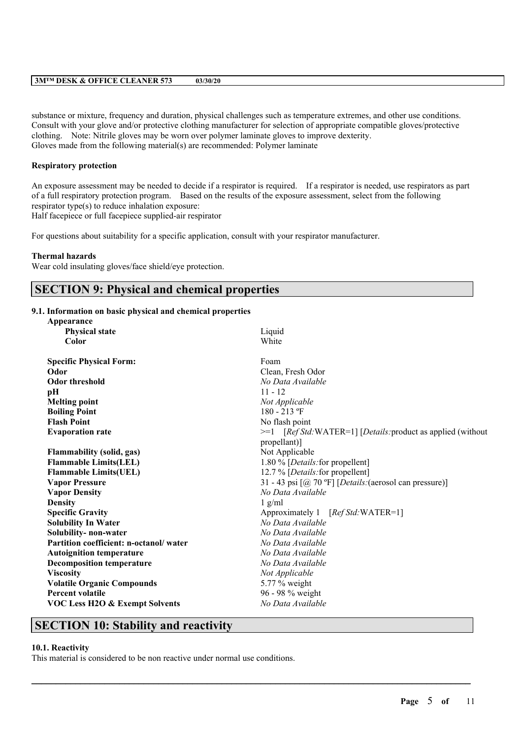substance or mixture, frequency and duration, physical challenges such as temperature extremes, and other use conditions. Consult with your glove and/or protective clothing manufacturer for selection of appropriate compatible gloves/protective clothing. Note: Nitrile gloves may be worn over polymer laminate gloves to improve dexterity. Gloves made from the following material(s) are recommended: Polymer laminate

### **Respiratory protection**

An exposure assessment may be needed to decide if a respirator is required. If a respirator is needed, use respirators as part of a full respiratory protection program. Based on the results of the exposure assessment, select from the following respirator type(s) to reduce inhalation exposure:

Half facepiece or full facepiece supplied-air respirator

For questions about suitability for a specific application, consult with your respirator manufacturer.

### **Thermal hazards**

Wear cold insulating gloves/face shield/eye protection.

# **SECTION 9: Physical and chemical properties**

# **9.1. Information on basic physical and chemical properties**

| Appearance                                |                                                             |  |
|-------------------------------------------|-------------------------------------------------------------|--|
| <b>Physical state</b>                     | Liquid                                                      |  |
| Color                                     | White                                                       |  |
| <b>Specific Physical Form:</b>            | Foam                                                        |  |
| Odor                                      | Clean, Fresh Odor                                           |  |
| <b>Odor threshold</b>                     | No Data Available                                           |  |
| pН                                        | $11 - 12$                                                   |  |
| <b>Melting point</b>                      | Not Applicable                                              |  |
| <b>Boiling Point</b>                      | $180 - 213$ °F                                              |  |
| <b>Flash Point</b>                        | No flash point                                              |  |
| <b>Evaporation rate</b>                   | >=1 [Ref Std:WATER=1] [Details: product as applied (without |  |
|                                           | propellant)                                                 |  |
| <b>Flammability (solid, gas)</b>          | Not Applicable                                              |  |
| <b>Flammable Limits(LEL)</b>              | 1.80 % [Details: for propellent]                            |  |
| <b>Flammable Limits(UEL)</b>              | 12.7 % [ <i>Details</i> : for propellent]                   |  |
| <b>Vapor Pressure</b>                     | 31 - 43 psi [@ 70 °F] [Details: (aerosol can pressure)]     |  |
| <b>Vapor Density</b>                      | No Data Available                                           |  |
| <b>Density</b>                            | $1$ g/ml                                                    |  |
| <b>Specific Gravity</b>                   | Approximately 1 [Ref Std:WATER=1]                           |  |
| <b>Solubility In Water</b>                | No Data Available                                           |  |
| Solubility- non-water                     | No Data Available                                           |  |
| Partition coefficient: n-octanol/water    | No Data Available                                           |  |
| <b>Autoignition temperature</b>           | No Data Available                                           |  |
| <b>Decomposition temperature</b>          | No Data Available                                           |  |
| <b>Viscosity</b>                          | Not Applicable                                              |  |
| <b>Volatile Organic Compounds</b>         | 5.77 % weight                                               |  |
| <b>Percent volatile</b>                   | 96 - 98 % weight                                            |  |
| <b>VOC Less H2O &amp; Exempt Solvents</b> | No Data Available                                           |  |
|                                           |                                                             |  |

 $\mathcal{L}_\mathcal{L} = \mathcal{L}_\mathcal{L} = \mathcal{L}_\mathcal{L} = \mathcal{L}_\mathcal{L} = \mathcal{L}_\mathcal{L} = \mathcal{L}_\mathcal{L} = \mathcal{L}_\mathcal{L} = \mathcal{L}_\mathcal{L} = \mathcal{L}_\mathcal{L} = \mathcal{L}_\mathcal{L} = \mathcal{L}_\mathcal{L} = \mathcal{L}_\mathcal{L} = \mathcal{L}_\mathcal{L} = \mathcal{L}_\mathcal{L} = \mathcal{L}_\mathcal{L} = \mathcal{L}_\mathcal{L} = \mathcal{L}_\mathcal{L}$ 

# **SECTION 10: Stability and reactivity**

### **10.1. Reactivity**

This material is considered to be non reactive under normal use conditions.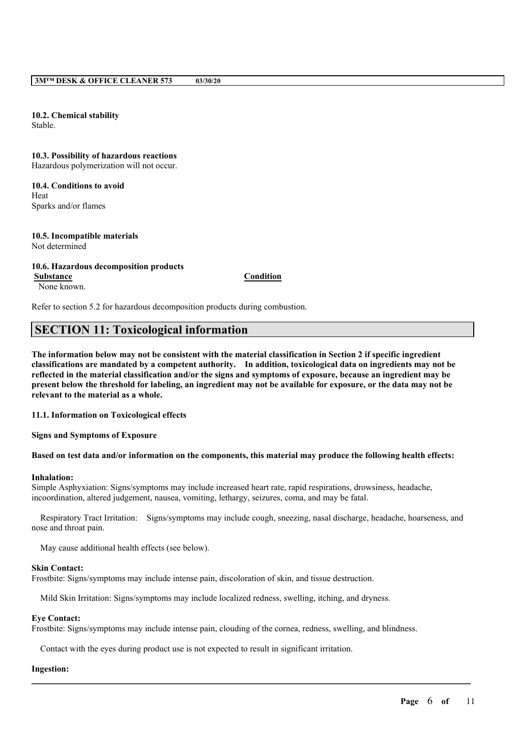**10.2. Chemical stability** Stable.

**10.3. Possibility of hazardous reactions** Hazardous polymerization will not occur.

**10.4. Conditions to avoid** Heat Sparks and/or flames

#### **10.5. Incompatible materials** Not determined

#### **10.6. Hazardous decomposition products Substance Condition** None known.

Refer to section 5.2 for hazardous decomposition products during combustion.

# **SECTION 11: Toxicological information**

The information below may not be consistent with the material classification in Section 2 if specific ingredient **classifications are mandated by a competent authority. In addition, toxicological data on ingredients may not be** reflected in the material classification and/or the signs and symptoms of exposure, because an ingredient may be present below the threshold for labeling, an ingredient may not be available for exposure, or the data may not be **relevant to the material as a whole.**

**11.1. Information on Toxicological effects**

**Signs and Symptoms of Exposure**

### Based on test data and/or information on the components, this material may produce the following health effects:

#### **Inhalation:**

Simple Asphyxiation: Signs/symptoms may include increased heart rate, rapid respirations, drowsiness, headache, incoordination, altered judgement, nausea, vomiting, lethargy, seizures, coma, and may be fatal.

Respiratory Tract Irritation: Signs/symptoms may include cough, sneezing, nasal discharge, headache, hoarseness, and nose and throat pain.

 $\mathcal{L}_\mathcal{L} = \mathcal{L}_\mathcal{L} = \mathcal{L}_\mathcal{L} = \mathcal{L}_\mathcal{L} = \mathcal{L}_\mathcal{L} = \mathcal{L}_\mathcal{L} = \mathcal{L}_\mathcal{L} = \mathcal{L}_\mathcal{L} = \mathcal{L}_\mathcal{L} = \mathcal{L}_\mathcal{L} = \mathcal{L}_\mathcal{L} = \mathcal{L}_\mathcal{L} = \mathcal{L}_\mathcal{L} = \mathcal{L}_\mathcal{L} = \mathcal{L}_\mathcal{L} = \mathcal{L}_\mathcal{L} = \mathcal{L}_\mathcal{L}$ 

May cause additional health effects (see below).

#### **Skin Contact:**

Frostbite: Signs/symptoms may include intense pain, discoloration of skin, and tissue destruction.

Mild Skin Irritation: Signs/symptoms may include localized redness, swelling, itching, and dryness.

#### **Eye Contact:**

Frostbite: Signs/symptoms may include intense pain, clouding of the cornea, redness, swelling, and blindness.

Contact with the eyes during product use is not expected to result in significant irritation.

### **Ingestion:**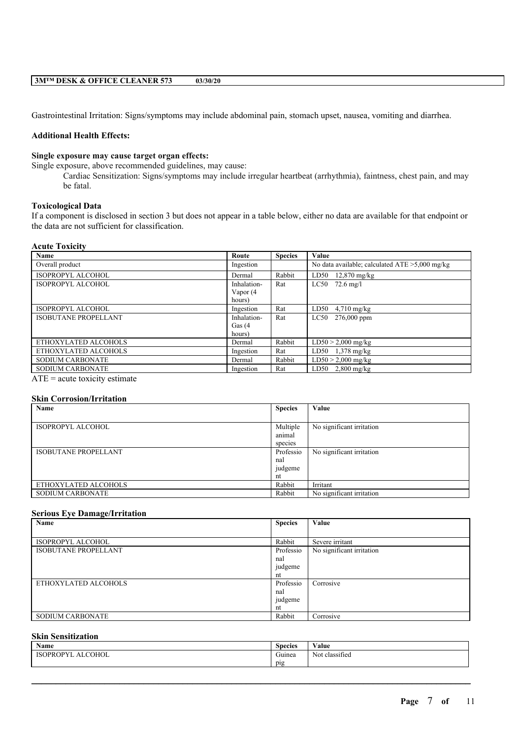Gastrointestinal Irritation: Signs/symptoms may include abdominal pain, stomach upset, nausea, vomiting and diarrhea.

### **Additional Health Effects:**

# **Single exposure may cause target organ effects:**

Single exposure, above recommended guidelines, may cause:

Cardiac Sensitization: Signs/symptoms may include irregular heartbeat (arrhythmia), faintness, chest pain, and may be fatal.

# **Toxicological Data**

If a component is disclosed in section 3 but does not appear in a table below, either no data are available for that endpoint or the data are not sufficient for classification.

#### **Acute Toxicity**

| Name                        | Route       | <b>Species</b> | Value                                             |
|-----------------------------|-------------|----------------|---------------------------------------------------|
| Overall product             | Ingestion   |                | No data available; calculated $ATE > 5,000$ mg/kg |
| ISOPROPYL ALCOHOL           | Dermal      | Rabbit         | $LD50$ 12,870 mg/kg                               |
| <b>ISOPROPYL ALCOHOL</b>    | Inhalation- | Rat            | $LC50$ 72.6 mg/l                                  |
|                             | Vapor (4    |                |                                                   |
|                             | hours)      |                |                                                   |
| <b>ISOPROPYL ALCOHOL</b>    | Ingestion   | Rat            | $LD50$ 4,710 mg/kg                                |
| <b>ISOBUTANE PROPELLANT</b> | Inhalation- | Rat            | LC50 276,000 ppm                                  |
|                             | Gas $(4)$   |                |                                                   |
|                             | hours)      |                |                                                   |
| ETHOXYLATED ALCOHOLS        | Dermal      | Rabbit         | $LD50 > 2,000$ mg/kg                              |
| ETHOXYLATED ALCOHOLS        | Ingestion   | Rat            | LD50 $1,378$ mg/kg                                |
| <b>SODIUM CARBONATE</b>     | Dermal      | Rabbit         | $LD50 > 2,000$ mg/kg                              |
| <b>SODIUM CARBONATE</b>     | Ingestion   | Rat            | $LD50$ 2,800 mg/kg                                |
|                             |             |                |                                                   |

 $ATE = acute$  toxicity estimate

# **Skin Corrosion/Irritation**

| Name                        | <b>Species</b> | Value                     |
|-----------------------------|----------------|---------------------------|
|                             |                |                           |
| ISOPROPYL ALCOHOL           | Multiple       | No significant irritation |
|                             | animal         |                           |
|                             | species        |                           |
| <b>ISOBUTANE PROPELLANT</b> | Professio      | No significant irritation |
|                             | nal            |                           |
|                             | judgeme        |                           |
|                             | nt             |                           |
| ETHOXYLATED ALCOHOLS        | Rabbit         | Irritant                  |
| <b>SODIUM CARBONATE</b>     | Rabbit         | No significant irritation |

### **Serious Eye Damage/Irritation**

| Name                        | <b>Species</b> | Value                     |
|-----------------------------|----------------|---------------------------|
|                             |                |                           |
| ISOPROPYL ALCOHOL           | Rabbit         | Severe irritant           |
| <b>ISOBUTANE PROPELLANT</b> | Professio      | No significant irritation |
|                             | nal            |                           |
|                             | judgeme        |                           |
|                             | nt             |                           |
| ETHOXYLATED ALCOHOLS        | Professio      | Corrosive                 |
|                             | nal            |                           |
|                             | judgeme        |                           |
|                             | nt             |                           |
| <b>SODIUM CARBONATE</b>     | Rabbit         | Corrosive                 |

# **Skin Sensitization**

| . .<br>Name                             | <b>Species</b> | $-1$<br>'alue                |
|-----------------------------------------|----------------|------------------------------|
| <b>ALCOHOL</b><br>ISO<br>.∪PROP≚<br>. . | Guinea         | $\sim$<br>classified<br>Not. |
|                                         | pig            |                              |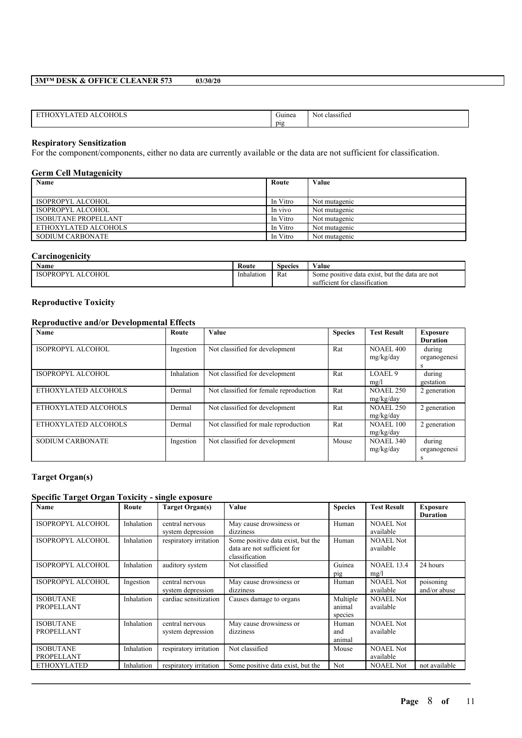| . . | типеа | $\sim$<br>classi<br>ssitiec<br>N01 |
|-----|-------|------------------------------------|
|     | D12   |                                    |

### **Respiratory Sensitization**

For the component/components, either no data are currently available or the data are not sufficient for classification.

### **Germ Cell Mutagenicity**

| $\cdot$<br>Name             | Route    | Value         |
|-----------------------------|----------|---------------|
|                             |          |               |
| ISOPROPYL ALCOHOL           | In Vitro | Not mutagenic |
| ISOPROPYL ALCOHOL           | In vivo  | Not mutagenic |
| <b>ISOBUTANE PROPELLANT</b> | In Vitro | Not mutagenic |
| ETHOXYLATED ALCOHOLS        | In Vitro | Not mutagenic |
| SODIUM CARBONATE            | In Vitro | Not mutagenic |

# **Carcinogenicity**

| Name                                       | Route      | $\sim$<br><b>Species</b> | $ -$<br>Value                                        |
|--------------------------------------------|------------|--------------------------|------------------------------------------------------|
| <b>COHOL</b><br>15OPROP <sup>V</sup><br>ΑI | Inhalation | Rat<br>.                 | data exist.<br>but the data are not<br>Some positive |
|                                            |            |                          | .<br>classification<br>tor<br>hcient<br>sui          |

# **Reproductive Toxicity**

# **Reproductive and/or Developmental Effects**

| Name                     | Route      | Value                                  | <b>Species</b> | <b>Test Result</b>            | <b>Exposure</b><br><b>Duration</b> |
|--------------------------|------------|----------------------------------------|----------------|-------------------------------|------------------------------------|
| <b>ISOPROPYL ALCOHOL</b> | Ingestion  | Not classified for development         | Rat            | <b>NOAEL 400</b><br>mg/kg/day | during<br>organogenesi<br>S        |
| ISOPROPYL ALCOHOL        | Inhalation | Not classified for development         | Rat            | LOAEL <sub>9</sub><br>mg/l    | during<br>gestation                |
| ETHOXYLATED ALCOHOLS     | Dermal     | Not classified for female reproduction | Rat            | <b>NOAEL 250</b><br>mg/kg/day | 2 generation                       |
| ETHOXYLATED ALCOHOLS     | Dermal     | Not classified for development         | Rat            | <b>NOAEL 250</b><br>mg/kg/day | 2 generation                       |
| ETHOXYLATED ALCOHOLS     | Dermal     | Not classified for male reproduction   | Rat            | <b>NOAEL 100</b><br>mg/kg/day | 2 generation                       |
| <b>SODIUM CARBONATE</b>  | Ingestion  | Not classified for development         | Mouse          | <b>NOAEL 340</b><br>mg/kg/day | during<br>organogenesi<br>s        |

# **Target Organ(s)**

# **Specific Target Organ Toxicity - single exposure**

| <b>Name</b>              | Route      | <b>Target Organ(s)</b> | <b>Value</b>                      | <b>Species</b> | <b>Test Result</b> | <b>Exposure</b> |
|--------------------------|------------|------------------------|-----------------------------------|----------------|--------------------|-----------------|
|                          |            |                        |                                   |                |                    | <b>Duration</b> |
| <b>ISOPROPYL ALCOHOL</b> | Inhalation | central nervous        | May cause drowsiness or           | Human          | <b>NOAEL Not</b>   |                 |
|                          |            | system depression      | dizziness                         |                | available          |                 |
| ISOPROPYL ALCOHOL        | Inhalation | respiratory irritation | Some positive data exist, but the | Human          | <b>NOAEL Not</b>   |                 |
|                          |            |                        | data are not sufficient for       |                | available          |                 |
|                          |            |                        | classification                    |                |                    |                 |
| ISOPROPYL ALCOHOL        | Inhalation | auditory system        | Not classified                    | Guinea         | <b>NOAEL 13.4</b>  | 24 hours        |
|                          |            |                        |                                   | pig            | mg/l               |                 |
| ISOPROPYL ALCOHOL        | Ingestion  | central nervous        | May cause drowsiness or           | Human          | <b>NOAEL Not</b>   | poisoning       |
|                          |            | system depression      | dizziness                         |                | available          | and/or abuse    |
| <b>ISOBUTANE</b>         | Inhalation | cardiac sensitization  | Causes damage to organs           | Multiple       | <b>NOAEL Not</b>   |                 |
| <b>PROPELLANT</b>        |            |                        |                                   | animal         | available          |                 |
|                          |            |                        |                                   | species        |                    |                 |
| <b>ISOBUTANE</b>         | Inhalation | central nervous        | May cause drowsiness or           | Human          | <b>NOAEL Not</b>   |                 |
| <b>PROPELLANT</b>        |            | system depression      | dizziness                         | and            | available          |                 |
|                          |            |                        |                                   | animal         |                    |                 |
| <b>ISOBUTANE</b>         | Inhalation | respiratory irritation | Not classified                    | Mouse          | <b>NOAEL Not</b>   |                 |
| <b>PROPELLANT</b>        |            |                        |                                   |                | available          |                 |
| <b>ETHOXYLATED</b>       | Inhalation | respiratory irritation | Some positive data exist, but the | Not            | <b>NOAEL Not</b>   | not available   |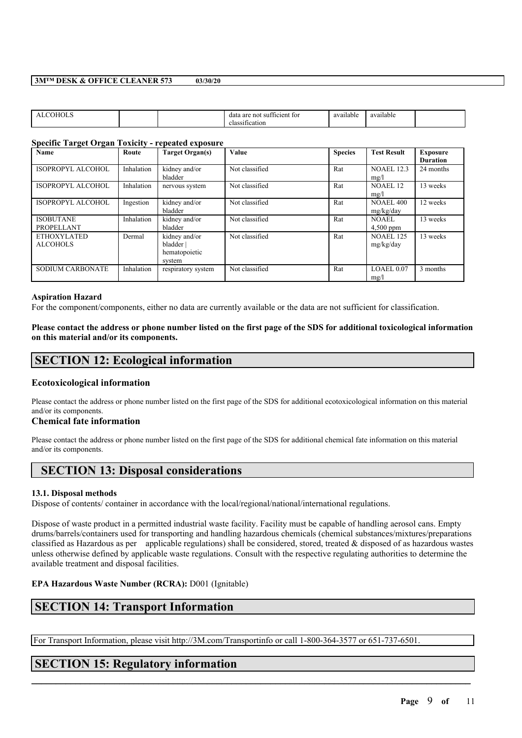|  | TO1<br>rent:<br>$^{\circ}$<br>not<br>data<br>21 I V<br>- 11<br>. .<br>ісаноп<br>-103 | $\sim$ $\sim$<br>011<br>ailable/ | available |  |
|--|--------------------------------------------------------------------------------------|----------------------------------|-----------|--|
|  |                                                                                      |                                  |           |  |

### **Specific Target Organ Toxicity - repeated exposure**

| Name                     | Route      | <b>Target Organ(s)</b> | Value          | <b>Species</b> | <b>Test Result</b> | <b>Exposure</b> |
|--------------------------|------------|------------------------|----------------|----------------|--------------------|-----------------|
|                          |            |                        |                |                |                    | <b>Duration</b> |
| ISOPROPYL ALCOHOL        | Inhalation | kidney and/or          | Not classified | Rat            | <b>NOAEL 12.3</b>  | 24 months       |
|                          |            | bladder                |                |                | mg/l               |                 |
| <b>ISOPROPYL ALCOHOL</b> | Inhalation | nervous system         | Not classified | Rat            | <b>NOAEL 12</b>    | 13 weeks        |
|                          |            |                        |                |                | mg/l               |                 |
| ISOPROPYL ALCOHOL        | Ingestion  | kidney and/or          | Not classified | Rat            | <b>NOAEL 400</b>   | 12 weeks        |
|                          |            | bladder                |                |                | mg/kg/day          |                 |
| <b>ISOBUTANE</b>         | Inhalation | kidney and/or          | Not classified | Rat            | NOAEL              | 13 weeks        |
| <b>PROPELLANT</b>        |            | bladder                |                |                | $4,500$ ppm        |                 |
| <b>ETHOXYLATED</b>       | Dermal     | kidney and/or          | Not classified | Rat            | <b>NOAEL 125</b>   | 13 weeks        |
| <b>ALCOHOLS</b>          |            | bladder                |                |                | mg/kg/day          |                 |
|                          |            | hematopoietic          |                |                |                    |                 |
|                          |            | system                 |                |                |                    |                 |
| <b>SODIUM CARBONATE</b>  | Inhalation | respiratory system     | Not classified | Rat            | LOAEL 0.07         | 3 months        |
|                          |            |                        |                |                | mg/l               |                 |

### **Aspiration Hazard**

For the component/components, either no data are currently available or the data are not sufficient for classification.

### Please contact the address or phone number listed on the first page of the SDS for additional toxicological information **on this material and/or its components.**

# **SECTION 12: Ecological information**

### **Ecotoxicological information**

Please contact the address or phone number listed on the first page of the SDS for additional ecotoxicological information on this material and/or its components.

### **Chemical fate information**

Please contact the address or phone number listed on the first page of the SDS for additional chemical fate information on this material and/or its components.

# **SECTION 13: Disposal considerations**

### **13.1. Disposal methods**

Dispose of contents/ container in accordance with the local/regional/national/international regulations.

Dispose of waste product in a permitted industrial waste facility. Facility must be capable of handling aerosol cans. Empty drums/barrels/containers used for transporting and handling hazardous chemicals (chemical substances/mixtures/preparations classified as Hazardous as per applicable regulations) shall be considered, stored, treated  $\&$  disposed of as hazardous wastes unless otherwise defined by applicable waste regulations. Consult with the respective regulating authorities to determine the available treatment and disposal facilities.

 $\mathcal{L}_\mathcal{L} = \mathcal{L}_\mathcal{L} = \mathcal{L}_\mathcal{L} = \mathcal{L}_\mathcal{L} = \mathcal{L}_\mathcal{L} = \mathcal{L}_\mathcal{L} = \mathcal{L}_\mathcal{L} = \mathcal{L}_\mathcal{L} = \mathcal{L}_\mathcal{L} = \mathcal{L}_\mathcal{L} = \mathcal{L}_\mathcal{L} = \mathcal{L}_\mathcal{L} = \mathcal{L}_\mathcal{L} = \mathcal{L}_\mathcal{L} = \mathcal{L}_\mathcal{L} = \mathcal{L}_\mathcal{L} = \mathcal{L}_\mathcal{L}$ 

# **EPA Hazardous Waste Number (RCRA):** D001 (Ignitable)

# **SECTION 14: Transport Information**

For Transport Information, please visit http://3M.com/Transportinfo or call 1-800-364-3577 or 651-737-6501.

# **SECTION 15: Regulatory information**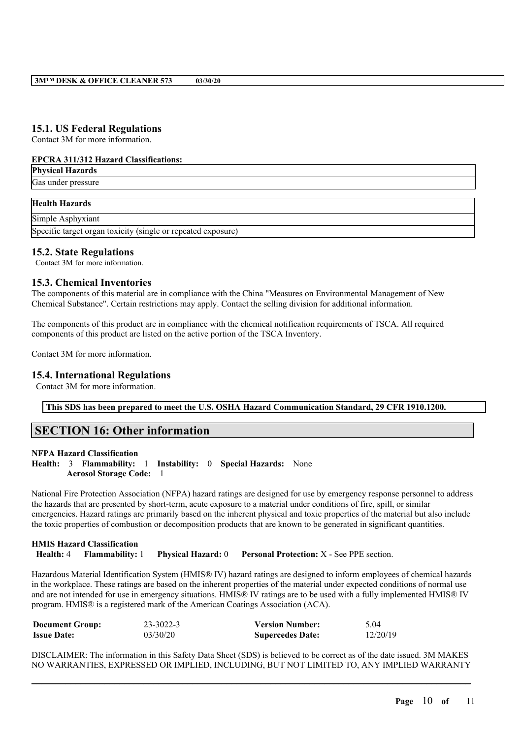# **15.1. US Federal Regulations**

Contact 3M for more information.

### **EPCRA 311/312 Hazard Classifications:**

| <b>Physical Hazards</b>                                      |  |
|--------------------------------------------------------------|--|
| Gas under pressure                                           |  |
|                                                              |  |
| <b>Health Hazards</b>                                        |  |
| Simple Asphyxiant                                            |  |
| Specific target organ toxicity (single or repeated exposure) |  |

# **15.2. State Regulations**

Contact 3M for more information.

# **15.3. Chemical Inventories**

The components of this material are in compliance with the China "Measures on Environmental Management of New Chemical Substance". Certain restrictions may apply. Contact the selling division for additional information.

The components of this product are in compliance with the chemical notification requirements of TSCA. All required components of this product are listed on the active portion of the TSCA Inventory.

Contact 3M for more information.

# **15.4. International Regulations**

Contact 3M for more information.

**This SDS has been prepared to meet the U.S. OSHA Hazard Communication Standard, 29 CFR 1910.1200.**

# **SECTION 16: Other information**

### **NFPA Hazard Classification**

**Health:** 3 **Flammability:** 1 **Instability:** 0 **Special Hazards:** None **Aerosol Storage Code:** 1

National Fire Protection Association (NFPA) hazard ratings are designed for use by emergency response personnel to address the hazards that are presented by short-term, acute exposure to a material under conditions of fire, spill, or similar emergencies. Hazard ratings are primarily based on the inherent physical and toxic properties of the material but also include the toxic properties of combustion or decomposition products that are known to be generated in significant quantities.

# **HMIS Hazard Classification Health:** 4 **Flammability:** 1 **Physical Hazard:** 0 **Personal Protection:** X - See PPE section.

Hazardous Material Identification System (HMIS® IV) hazard ratings are designed to inform employees of chemical hazards in the workplace. These ratings are based on the inherent properties of the material under expected conditions of normal use and are not intended for use in emergency situations. HMIS® IV ratings are to be used with a fully implemented HMIS® IV program. HMIS® is a registered mark of the American Coatings Association (ACA).

| <b>Document Group:</b> | 23-3022-3 | <b>Version Number:</b>  | 5.04     |
|------------------------|-----------|-------------------------|----------|
| <b>Issue Date:</b>     | 03/30/20  | <b>Supercedes Date:</b> | 12/20/19 |

DISCLAIMER: The information in this Safety Data Sheet (SDS) is believed to be correct as of the date issued. 3M MAKES NO WARRANTIES, EXPRESSED OR IMPLIED, INCLUDING, BUT NOT LIMITED TO, ANY IMPLIED WARRANTY